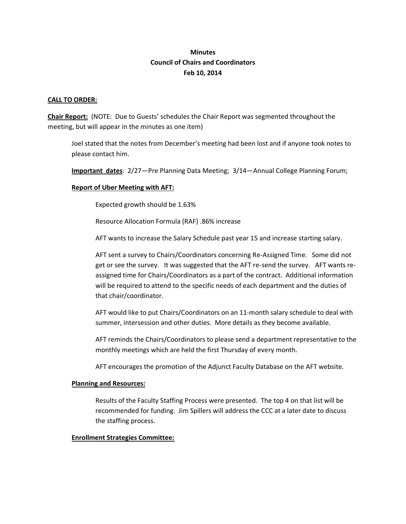# **Minutes Council of Chairs and Coordinators Feb 10, 2014**

### **CALL TO ORDER:**

**Chair Report:** (NOTE: Due to Guests' schedules the Chair Report was segmented throughout the meeting, but will appear in the minutes as one item)

Joel stated that the notes from December's meeting had been lost and if anyone took notes to please contact him.

**Important dates**: 2/27—Pre Planning Data Meeting; 3/14—Annual College Planning Forum;

## **Report of Uber Meeting with AFT:**

Expected growth should be 1.63%

Resource Allocation Formula (RAF) .86% increase

AFT wants to increase the Salary Schedule past year 15 and increase starting salary.

AFT sent a survey to Chairs/Coordinators concerning Re-Assigned Time. Some did not get or see the survey. It was suggested that the AFT re-send the survey. AFT wants reassigned time for Chairs/Coordinators as a part of the contract. Additional information will be required to attend to the specific needs of each department and the duties of that chair/coordinator.

AFT would like to put Chairs/Coordinators on an 11-month salary schedule to deal with summer, intersession and other duties. More details as they become available.

AFT reminds the Chairs/Coordinators to please send a department representative to the monthly meetings which are held the first Thursday of every month.

AFT encourages the promotion of the Adjunct Faculty Database on the AFT website.

#### **Planning and Resources:**

Results of the Faculty Staffing Process were presented. The top 4 on that list will be recommended for funding. Jim Spillers will address the CCC at a later date to discuss the staffing process.

#### **Enrollment Strategies Committee:**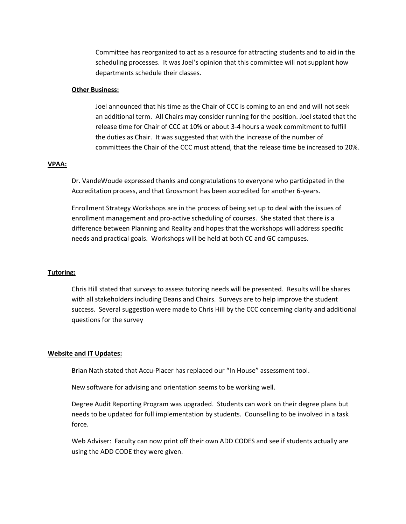Committee has reorganized to act as a resource for attracting students and to aid in the scheduling processes. It was Joel's opinion that this committee will not supplant how departments schedule their classes.

#### **Other Business:**

Joel announced that his time as the Chair of CCC is coming to an end and will not seek an additional term. All Chairs may consider running for the position. Joel stated that the release time for Chair of CCC at 10% or about 3-4 hours a week commitment to fulfill the duties as Chair. It was suggested that with the increase of the number of committees the Chair of the CCC must attend, that the release time be increased to 20%.

#### **VPAA:**

Dr. VandeWoude expressed thanks and congratulations to everyone who participated in the Accreditation process, and that Grossmont has been accredited for another 6-years.

Enrollment Strategy Workshops are in the process of being set up to deal with the issues of enrollment management and pro-active scheduling of courses. She stated that there is a difference between Planning and Reality and hopes that the workshops will address specific needs and practical goals. Workshops will be held at both CC and GC campuses.

#### **Tutoring:**

Chris Hill stated that surveys to assess tutoring needs will be presented. Results will be shares with all stakeholders including Deans and Chairs. Surveys are to help improve the student success. Several suggestion were made to Chris Hill by the CCC concerning clarity and additional questions for the survey

#### **Website and IT Updates:**

Brian Nath stated that Accu-Placer has replaced our "In House" assessment tool.

New software for advising and orientation seems to be working well.

Degree Audit Reporting Program was upgraded. Students can work on their degree plans but needs to be updated for full implementation by students. Counselling to be involved in a task force.

Web Adviser: Faculty can now print off their own ADD CODES and see if students actually are using the ADD CODE they were given.